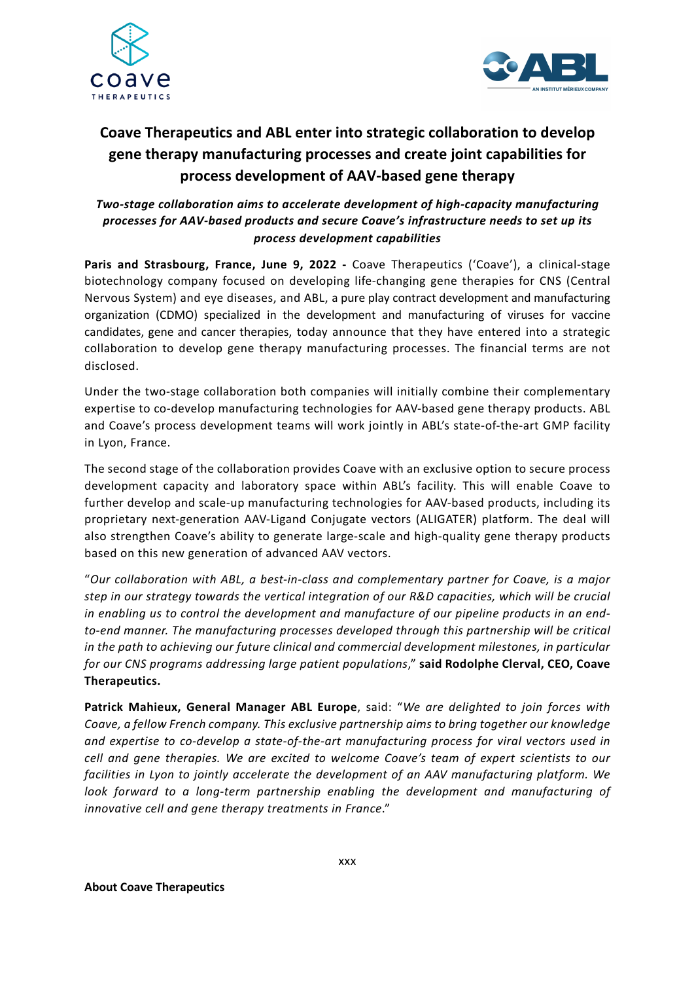



# **Coave Therapeutics and ABL enter into strategic collaboration to develop gene therapy manufacturing processes and create joint capabilities for process development of AAV-based gene therapy**

## *Two-stage collaboration aims to accelerate development of high-capacity manufacturing processes for AAV-based products and secure Coave's infrastructure needs to set up its process development capabilities*

**Paris and Strasbourg, France, June 9, 2022 -** Coave Therapeutics ('Coave'), a clinical-stage biotechnology company focused on developing life-changing gene therapies for CNS (Central Nervous System) and eye diseases, and ABL, a pure play contract development and manufacturing organization (CDMO) specialized in the development and manufacturing of viruses for vaccine candidates, gene and cancer therapies, today announce that they have entered into a strategic collaboration to develop gene therapy manufacturing processes. The financial terms are not disclosed.

Under the two-stage collaboration both companies will initially combine their complementary expertise to co-develop manufacturing technologies for AAV-based gene therapy products. ABL and Coave's process development teams will work jointly in ABL's state-of-the-art GMP facility in Lyon, France.

The second stage of the collaboration provides Coave with an exclusive option to secure process development capacity and laboratory space within ABL's facility. This will enable Coave to further develop and scale-up manufacturing technologies for AAV-based products, including its proprietary next-generation AAV-Ligand Conjugate vectors (ALIGATER) platform. The deal will also strengthen Coave's ability to generate large-scale and high-quality gene therapy products based on this new generation of advanced AAV vectors.

"*Our collaboration with ABL, a best-in-class and complementary partner for Coave, is a major step in our strategy towards the vertical integration of our R&D capacities, which will be crucial in enabling us to control the development and manufacture of our pipeline products in an endto-end manner. The manufacturing processes developed through this partnership will be critical in the path to achieving our future clinical and commercial development milestones, in particular for our CNS programs addressing large patient populations*," **said Rodolphe Clerval, CEO, Coave Therapeutics.**

**Patrick Mahieux, General Manager ABL Europe**, said: "*We are delighted to join forces with Coave, a fellow French company. This exclusive partnership aims to bring together our knowledge and expertise to co-develop a state-of-the-art manufacturing process for viral vectors used in cell and gene therapies. We are excited to welcome Coave's team of expert scientists to our facilities in Lyon to jointly accelerate the development of an AAV manufacturing platform. We look forward to a long-term partnership enabling the development and manufacturing of innovative cell and gene therapy treatments in France*."